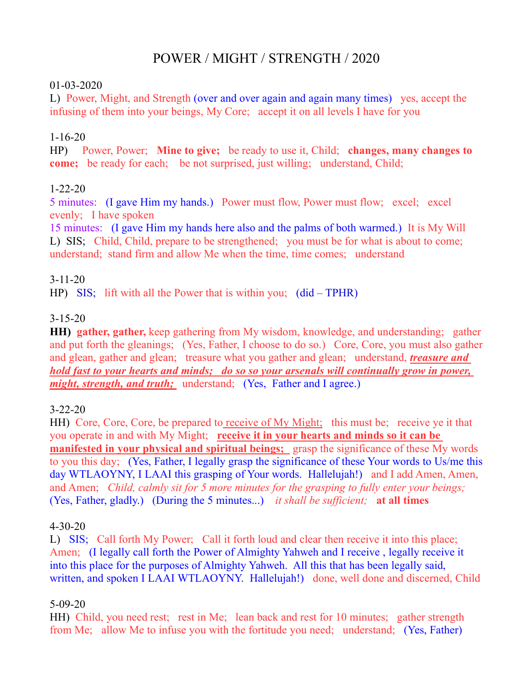# POWER / MIGHT / STRENGTH / 2020

#### 01-03-2020

L) Power, Might, and Strength (over and over again and again many times) yes, accept the infusing of them into your beings, My Core; accept it on all levels I have for you

## 1-16-20

HP) Power, Power; **Mine to give;** be ready to use it, Child; **changes, many changes to come;** be ready for each; be not surprised, just willing; understand, Child;

#### 1-22-20

5 minutes: (I gave Him my hands.) Power must flow, Power must flow; excel; excel evenly; I have spoken

15 minutes: (I gave Him my hands here also and the palms of both warmed.) It is My Will L) SIS; Child, Child, prepare to be strengthened; you must be for what is about to come; understand; stand firm and allow Me when the time, time comes; understand

## 3-11-20

HP) SIS; lift with all the Power that is within you; (did – TPHR)

#### 3-15-20

**HH) gather, gather,** keep gathering from My wisdom, knowledge, and understanding; gather and put forth the gleanings; (Yes, Father, I choose to do so.) Core, Core, you must also gather and glean, gather and glean; treasure what you gather and glean; understand, *treasure and hold fast to your hearts and minds; do so so your arsenals will continually grow in power, might, strength, and truth;* understand; (Yes, Father and I agree.)

## 3-22-20

HH) Core, Core, Core, be prepared to receive of My Might; this must be; receive ye it that you operate in and with My Might; **receive it in your hearts and minds so it can be manifested in your physical and spiritual beings;** grasp the significance of these My words to you this day; (Yes, Father, I legally grasp the significance of these Your words to Us/me this day WTLAOYNY, I LAAI this grasping of Your words. Hallelujah!) and I add Amen, Amen, and Amen; *Child, calmly sit for 5 more minutes for the grasping to fully enter your beings;* (Yes, Father, gladly.) (During the 5 minutes...) *it shall be sufficient;* **at all times**

#### 4-30-20

L) SIS; Call forth My Power; Call it forth loud and clear then receive it into this place; Amen; (I legally call forth the Power of Almighty Yahweh and I receive , legally receive it into this place for the purposes of Almighty Yahweh. All this that has been legally said, written, and spoken I LAAI WTLAOYNY. Hallelujah!) done, well done and discerned, Child

## 5-09-20

HH) Child, you need rest; rest in Me; lean back and rest for 10 minutes; gather strength from Me; allow Me to infuse you with the fortitude you need; understand; (Yes, Father)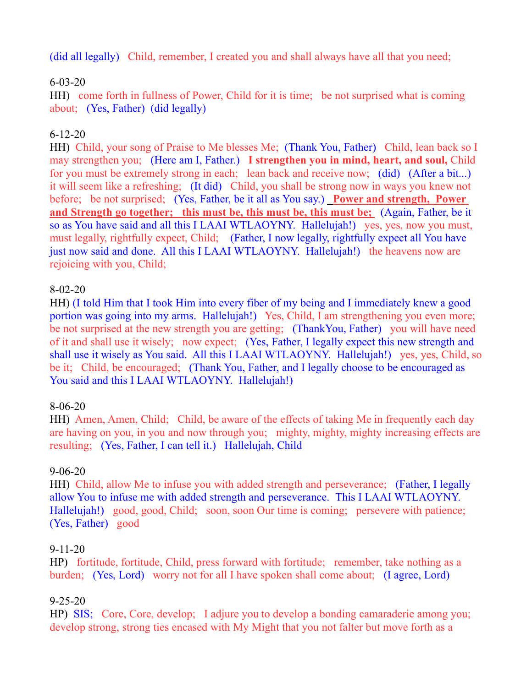(did all legally) Child, remember, I created you and shall always have all that you need;

# 6-03-20

HH) come forth in fullness of Power, Child for it is time; be not surprised what is coming about; (Yes, Father) (did legally)

# 6-12-20

HH) Child, your song of Praise to Me blesses Me; (Thank You, Father) Child, lean back so I may strengthen you; (Here am I, Father.) **I strengthen you in mind, heart, and soul,** Child for you must be extremely strong in each; lean back and receive now; (did) (After a bit...) it will seem like a refreshing; (It did) Child, you shall be strong now in ways you knew not before; be not surprised; (Yes, Father, be it all as You say.) **Power and strength, Power and Strength go together; this must be, this must be, this must be;** (Again, Father, be it so as You have said and all this I LAAI WTLAOYNY. Hallelujah!) yes, yes, now you must, must legally, rightfully expect, Child; (Father, I now legally, rightfully expect all You have just now said and done. All this I LAAI WTLAOYNY. Hallelujah!) the heavens now are rejoicing with you, Child;

## 8-02-20

HH) (I told Him that I took Him into every fiber of my being and I immediately knew a good portion was going into my arms. Hallelujah!) Yes, Child, I am strengthening you even more; be not surprised at the new strength you are getting; (ThankYou, Father) you will have need of it and shall use it wisely; now expect; (Yes, Father, I legally expect this new strength and shall use it wisely as You said. All this I LAAI WTLAOYNY. Hallelujah!) yes, yes, Child, so be it; Child, be encouraged; (Thank You, Father, and I legally choose to be encouraged as You said and this I LAAI WTLAOYNY. Hallelujah!)

## 8-06-20

HH) Amen, Amen, Child; Child, be aware of the effects of taking Me in frequently each day are having on you, in you and now through you; mighty, mighty, mighty increasing effects are resulting; (Yes, Father, I can tell it.) Hallelujah, Child

#### 9-06-20

HH) Child, allow Me to infuse you with added strength and perseverance; (Father, I legally allow You to infuse me with added strength and perseverance. This I LAAI WTLAOYNY. Hallelujah!) good, good, Child; soon, soon Our time is coming; persevere with patience; (Yes, Father) good

#### 9-11-20

HP) fortitude, fortitude, Child, press forward with fortitude; remember, take nothing as a burden; (Yes, Lord) worry not for all I have spoken shall come about; (I agree, Lord)

## 9-25-20

HP) SIS; Core, Core, develop; I adjure you to develop a bonding camaraderie among you; develop strong, strong ties encased with My Might that you not falter but move forth as a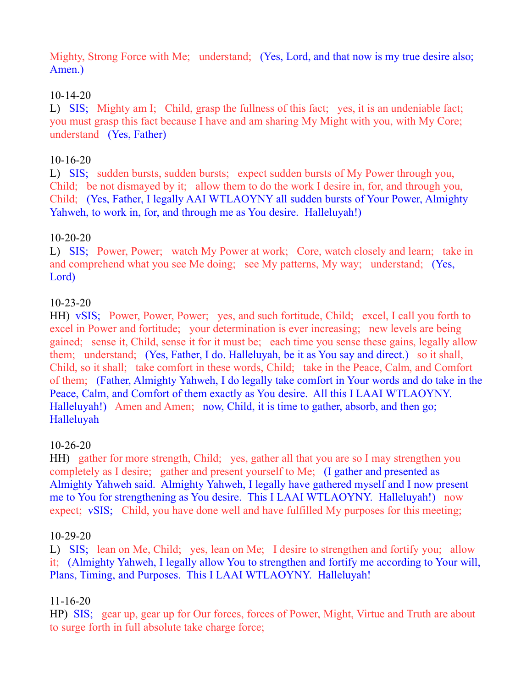Mighty, Strong Force with Me; understand; (Yes, Lord, and that now is my true desire also; Amen.)

## 10-14-20

L) SIS; Mighty am I; Child, grasp the fullness of this fact; yes, it is an undeniable fact; you must grasp this fact because I have and am sharing My Might with you, with My Core; understand (Yes, Father)

## 10-16-20

L) SIS; sudden bursts, sudden bursts; expect sudden bursts of My Power through you, Child; be not dismayed by it; allow them to do the work I desire in, for, and through you, Child; (Yes, Father, I legally AAI WTLAOYNY all sudden bursts of Your Power, Almighty Yahweh, to work in, for, and through me as You desire. Halleluyah!)

## 10-20-20

L) SIS; Power, Power; watch My Power at work; Core, watch closely and learn; take in and comprehend what you see Me doing; see My patterns, My way; understand; (Yes, Lord)

#### 10-23-20

HH) vSIS; Power, Power, Power; yes, and such fortitude, Child; excel, I call you forth to excel in Power and fortitude; your determination is ever increasing; new levels are being gained; sense it, Child, sense it for it must be; each time you sense these gains, legally allow them; understand; (Yes, Father, I do. Halleluyah, be it as You say and direct.) so it shall, Child, so it shall; take comfort in these words, Child; take in the Peace, Calm, and Comfort of them; (Father, Almighty Yahweh, I do legally take comfort in Your words and do take in the Peace, Calm, and Comfort of them exactly as You desire. All this I LAAI WTLAOYNY. Halleluyah!) Amen and Amen; now, Child, it is time to gather, absorb, and then go; Halleluyah

## 10-26-20

HH) gather for more strength, Child; yes, gather all that you are so I may strengthen you completely as I desire; gather and present yourself to Me; (I gather and presented as Almighty Yahweh said. Almighty Yahweh, I legally have gathered myself and I now present me to You for strengthening as You desire. This I LAAI WTLAOYNY. Halleluyah!) now expect; vSIS; Child, you have done well and have fulfilled My purposes for this meeting;

#### 10-29-20

L) SIS; lean on Me, Child; yes, lean on Me; I desire to strengthen and fortify you; allow it; (Almighty Yahweh, I legally allow You to strengthen and fortify me according to Your will, Plans, Timing, and Purposes. This I LAAI WTLAOYNY. Halleluyah!

## 11-16-20

HP) SIS; gear up, gear up for Our forces, forces of Power, Might, Virtue and Truth are about to surge forth in full absolute take charge force;